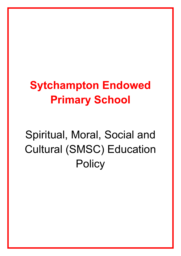# **Sytchampton Endowed Primary School**

# Spiritual, Moral, Social and Cultural (SMSC) Education **Policy**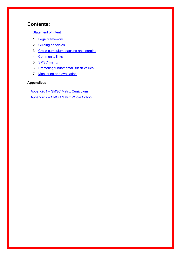# **Contents:**

[Statement of intent](#page-2-0)

- 1. [Legal framework](#page-3-0)
- 2. [Guiding principles](#page-3-1)
- 3. [Cross-curriculum teaching and learning](#page-4-0)
- 4. [Community links](#page-7-0)
- 5. [SMSC matrix](#page-7-1)
- 6. [Promoting fundamental British values](#page-7-2)
- 7. [Monitoring and evaluation](#page-9-0)

#### **Appendices**

Appendix 1 – [SMSC Matrix](#page-10-0) Curriculum Appendix 2 – SMSC Matrix Whole School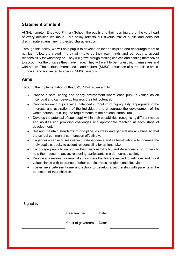# <span id="page-2-0"></span>**Statement of intent**

At Sytchampton Endowed Primary School, the pupils and their learning are at the very heart of every decision we make. This policy reflects our diverse mix of pupils and does not discriminate against any protected characteristics.

Through this policy, we will help pupils to develop an inner discipline and encourage them to not just 'follow the crowd' – they will make up their own minds and be ready to accept responsibility for what they do. They will grow through making choices and holding themselves to account for the choices they have made. They will want to be honest with themselves and with others. The spiritual, moral, social and cultural (SMSC) education of our pupils is crosscurricular and not limited to specific SMSC lessons.

## **Aims**

Through the implementation of this SMSC Policy, we aim to:

- Provide a safe, caring and happy environment where each pupil is valued as an individual and can develop towards their full potential.
- Provide for each pupil a wide, balanced curriculum of high-quality, appropriate to the interests and aspirations of the individual, and encourage the development of the whole person – fulfilling the requirements of the national curriculum.
- Develop the potential of each pupil within their capabilities, recognising different needs and abilities and providing challenges and appropriate teaching at each stage of development.
- Set and maintain standards of discipline, courtesy and general moral values so that the school community can function effectively.
- Engender a sense of self-respect, independence and self-motivation to increase the individual's capacity to accept responsibility for actions taken.
- Encourage pupils to recognise their responsibility to, and dependence on, others to help them become active, reasoning participants in a democratic society.
- Provide a non-sexist, non-racist atmosphere that fosters respect for religious and moral values linked with tolerance of other people, races, religions and lifestyles.
- Foster links between home and school to develop a partnership with parents in the education of their children.

| Signed by: |                          |       |  |
|------------|--------------------------|-------|--|
|            | Headteacher              | Date: |  |
|            | Chair of governors Date: |       |  |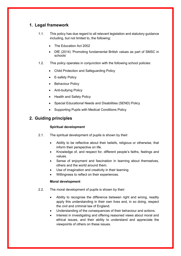# <span id="page-3-0"></span>**1. Legal framework**

- 1.1. This policy has due regard to all relevant legislation and statutory guidance including, but not limited to, the following:
	- The Education Act 2002
	- DfE (2014) 'Promoting fundamental British values as part of SMSC in schools'
- 1.2. This policy operates in conjunction with the following school policies:
	- Child Protection and Safeguarding Policy
	- E-safety Policy
	- Behaviour Policy
	- Anti-bullying Policy
	- Health and Safety Policy
	- Special Educational Needs and Disabilities (SEND) Policy
	- Supporting Pupils with Medical Conditions Policy

## <span id="page-3-1"></span>**2. Guiding principles**

#### **Spiritual development**

- 2.1. The spiritual development of pupils is shown by their:
	- Ability to be reflective about their beliefs, religious or otherwise, that inform their perspective on life.
	- Knowledge of, and respect for, different people's faiths, feelings and values.
	- Sense of enjoyment and fascination in learning about themselves, others and the world around them.
	- Use of imagination and creativity in their learning.
	- Willingness to reflect on their experiences.

#### **Moral development**

- 2.2. The moral development of pupils is shown by their:
	- Ability to recognise the difference between right and wrong, readily apply this understanding in their own lives and, in so doing, respect the civil and criminal law of England.
	- Understanding of the consequences of their behaviour and actions.
	- Interest in investigating and offering reasoned views about moral and ethical issues, and their ability to understand and appreciate the viewpoints of others on these issues.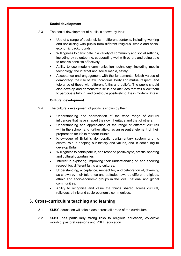#### **Social development**

- 2.3. The social development of pupils is shown by their:
	- Use of a range of social skills in different contexts, including working and socialising with pupils from different religious, ethnic and socioeconomic backgrounds.
	- Willingness to participate in a variety of community and social settings, including by volunteering, cooperating well with others and being able to resolve conflicts effectively.
	- Ability to use modern communication technology, including mobile technology, the internet and social media, safely.
	- Acceptance and engagement with the fundamental British values of democracy, the rule of law, individual liberty and mutual respect, and tolerance of those with different faiths and beliefs. The pupils should also develop and demonstrate skills and attitudes that will allow them to participate fully in, and contribute positively to, life in modern Britain.

#### **Cultural development**

- 2.4. The cultural development of pupils is shown by their:
	- Understanding and appreciation of the wide range of cultural influences that have shaped their own heritage and that of others.
	- Understanding and appreciation of the range of different cultures within the school, and further afield, as an essential element of their preparation for life in modern Britain.
	- Knowledge of Britain's democratic parliamentary system and its central role in shaping our history and values, and in continuing to develop Britain.
	- Willingness to participate in, and respond positively to, artistic, sporting and cultural opportunities.
	- Interest in exploring, improving their understanding of, and showing respect for, different faiths and cultures.
	- Understanding, acceptance, respect for, and celebration of, diversity, as shown by their tolerance and attitudes towards different religious, ethnic and socio-economic groups in the local, national and global communities.
	- Ability to recognise and value the things shared across cultural, religious, ethnic and socio-economic communities.

### <span id="page-4-0"></span>**3. Cross-curriculum teaching and learning**

- 3.1. SMSC education will take place across all areas of the curriculum.
- 3.2. SMSC has particularly strong links to religious education, collective worship, pastoral sessions and PSHE education.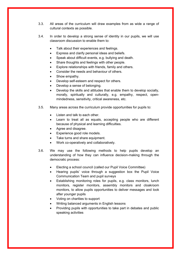- 3.3. All areas of the curriculum will draw examples from as wide a range of cultural contexts as possible.
- 3.4. In order to develop a strong sense of identity in our pupils, we will use classroom discussion to enable them to:
	- Talk about their experiences and feelings.
	- Express and clarify personal ideas and beliefs.
	- Speak about difficult events, e.g. bullying and death.
	- Share thoughts and feelings with other people.
	- Explore relationships with friends, family and others.
	- Consider the needs and behaviour of others.
	- Show empathy.
	- Develop self-esteem and respect for others.
	- Develop a sense of belonging.
	- Develop the skills and attitudes that enable them to develop socially, morally, spiritually and culturally, e.g. empathy, respect, openmindedness, sensitivity, critical awareness, etc.
- 3.5. Many areas across the curriculum provide opportunities for pupils to:
	- Listen and talk to each other.
	- Learn to treat all as equals, accepting people who are different because of physical and learning difficulties.
	- Agree and disagree.
	- Experience good role models.
	- Take turns and share equipment.
	- Work co-operatively and collaboratively.
- 3.6. We may use the following methods to help pupils develop an understanding of how they can influence decision-making through the democratic process:
	- Electing a school council (called our Pupil Voice Committee)
	- Hearing pupils' voice through a suggestion box the Pupil Voice Communication Team and pupil surveys
	- Establishing monitoring roles for pupils, e.g. class monitors, lunch monitors, register monitors, assembly monitors and cloakroom monitors, to allow pupils opportunities to deliver messages and look after younger pupils
	- Voting on charities to support
	- Writing balanced arguments in English lessons
	- Providing pupils with opportunities to take part in debates and public speaking activities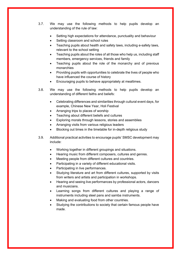- 3.7. We may use the following methods to help pupils develop an understanding of the rule of law:
	- Setting high expectations for attendance, punctuality and behaviour
	- Setting classroom and school rules
	- Teaching pupils about health and safety laws, including e-safety laws, relevant to the school setting
	- Teaching pupils about the roles of all those who help us, including staff members, emergency services, friends and family
	- Teaching pupils about the role of the monarchy and of previous monarchies
	- Providing pupils with opportunities to celebrate the lives of people who have influenced the course of history
	- Encouraging pupils to behave appropriately at mealtimes.
- 3.8. We may use the following methods to help pupils develop an understanding of different faiths and beliefs:
	- Celebrating differences and similarities through cultural event days, for example, Chinese New Year, Holi Festival
	- Arranging trips to places of worship
	- Teaching about different beliefs and cultures
	- Exploring morals through lessons, stories and assemblies
	- Arranging visits from various religious leaders
	- Blocking out times in the timetable for in-depth religious study
- 3.9. Additional practical activities to encourage pupils' SMSC development may include:
	- Working together in different groupings and situations.
	- Hearing music from different composers, cultures and genres.
	- Meeting people from different cultures and countries.
	- Participating in a variety of different educational visits.
	- Participating in live performances.
	- Studying literature and art from different cultures, supported by visits from writers and artists and participation in workshops.
	- Hearing and seeing live performances by professional actors, dancers and musicians.
	- Learning songs from different cultures and playing a range of instruments including steel pans and samba instruments.
	- Making and evaluating food from other countries.
	- Studying the contributions to society that certain famous people have made.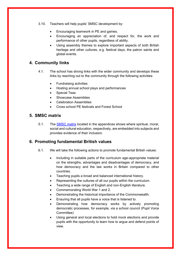- 3.10. Teachers will help pupils' SMSC development by:
	- Encouraging teamwork in PE and games.
	- Encouraging an appreciation of, and respect for, the work and performance of other pupils, regardless of ability.
	- Using assembly themes to explore important aspects of both British heritage and other cultures, e.g. festival days, the patron saints and global events.

#### <span id="page-7-0"></span>**4. Community links**

- 4.1. The school has strong links with the wider community and develops these links by reaching out to the community through the following activities:
	- Fundraising activities
	- Hosting annual school plays and performances
	- Special Teas
	- Showcase Assemblies
	- Celebration Assemblies
	- Cross school PE festivals and Forest School

### <span id="page-7-1"></span>**5. SMSC matrix**

5.1. The **SMSC** matrix located in the appendices shows where spiritual, moral, social and cultural education, respectively, are embedded into subjects and provides evidence of their inclusion.

#### <span id="page-7-2"></span>**6. Promoting fundamental British values**

- 6.1. We will take the following actions to promote fundamental British values:
	- Including in suitable parts of the curriculum age-appropriate material on the strengths, advantages and disadvantages of democracy, and how democracy and the law works in Britain compared to other countries.
	- Teaching pupils a broad and balanced international history.
	- Representing the cultures of all our pupils within the curriculum.
	- Teaching a wide range of English and non-English literature.
	- Commemorating World War 1 and 2.
	- Demonstrating the historical importance of the Commonwealth.
	- Ensuring that all pupils have a voice that is listened to.
	- Demonstrating how democracy works by actively promoting democratic processes, for example, via a school council (Pupil Voice Committee)
	- Using general and local elections to hold mock elections and provide pupils with the opportunity to learn how to argue and defend points of view.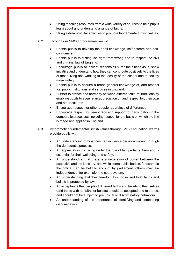- Using teaching resources from a wide variety of sources to help pupils learn about and understand a range of faiths.
- Using extra-curricular activities to promote fundamental British values.
- 6.2. Through our SMSC programme, we will:
	- Enable pupils to develop their self-knowledge, self-esteem and selfconfidence.
	- Enable pupils to distinguish right from wrong and to respect the civil and criminal law of England.
	- Encourage pupils to accept responsibility for their behaviour, show initiative and understand how they can contribute positively to the lives of those living and working in the locality of the school and to society more widely.
	- Enable pupils to acquire a broad general knowledge of, and respect for, public institutions and services in England.
	- Further tolerance and harmony between different cultural traditions by enabling pupils to acquire an appreciation of, and respect for, their own and other cultures.
	- Encourage respect for other people regardless of differences
	- Encourage respect for democracy and support for participation in the democratic processes, including respect for the basis on which the law is made and applied in England.
- 6.3. By promoting fundamental British values through SMSC education, we will provide pupils with:
	- An understanding of how they can influence decision making through the democratic process.
	- An appreciation that living under the rule of law protects them and is essential for their wellbeing and safety.
	- An understanding that there is a separation of power between the executive and the judiciary, and while some public bodies, for example the police, can be held to account by parliament, others maintain independence, for example, the court system.
	- An understanding that their freedom to choose and hold faiths and beliefs is protected by law.
	- An acceptance that people of different faiths and beliefs to themselves (and those with no faiths or beliefs) should be accepted and tolerated, and should not be subject to prejudicial or discriminatory behaviour.
	- An understanding of the importance of identifying and combatting discrimination.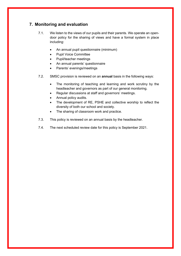# <span id="page-9-0"></span>**7. Monitoring and evaluation**

- 7.1. We listen to the views of our pupils and their parents. We operate an opendoor policy for the sharing of views and have a formal system in place including:
	- An annual pupil questionnaire (minimum)
	- Pupil Voice Committee
	- Pupil/teacher meetings
	- An annual parents' questionnaire
	- Parents' evenings/meetings
- 7.2. SMSC provision is reviewed on an **annual** basis in the following ways:
	- The monitoring of teaching and learning and work scrutiny by the headteacher and governors as part of our general monitoring.
	- Regular discussions at staff and governors' meetings.
	- Annual policy audits.
	- The development of RE, PSHE and collective worship to reflect the diversity of both our school and society.
	- The sharing of classroom work and practice.
- 7.3. This policy is reviewed on an annual basis by the headteacher.
- 7.4. The next scheduled review date for this policy is September 2021.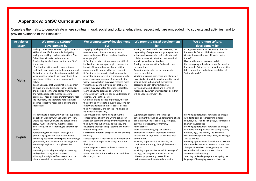# **Appendix A: SMSC Curriculum Matrix**

Complete the matrix to demonstrate where spiritual, moral, social and cultural education, respectively, are embedded into subjects and activities, and to provide evidence of their inclusion.

<span id="page-10-0"></span>

| <b>Activity or</b> | We promote spiritual                                                                                                                                                                                                                                                                                                                                                                                                                                                                                                                                                                                                                                                                                                                                                                                                                                                          | We promote <i>moral</i> development                                                                                                                                                                                                                                                                                                                                                                                                                                                                                                                                                                                                                                                                                                                                                                                                                                                                                                                                                                                  | We promote social development                                                                                                                                                                                                                                                                                                                                                                                                                                                                                                                                                                                                                                                   | We promote cultural                                                                                                                                                                                                                                                                                                                                                                                                                                                                                                                                                                                                                                                                                                   |
|--------------------|-------------------------------------------------------------------------------------------------------------------------------------------------------------------------------------------------------------------------------------------------------------------------------------------------------------------------------------------------------------------------------------------------------------------------------------------------------------------------------------------------------------------------------------------------------------------------------------------------------------------------------------------------------------------------------------------------------------------------------------------------------------------------------------------------------------------------------------------------------------------------------|----------------------------------------------------------------------------------------------------------------------------------------------------------------------------------------------------------------------------------------------------------------------------------------------------------------------------------------------------------------------------------------------------------------------------------------------------------------------------------------------------------------------------------------------------------------------------------------------------------------------------------------------------------------------------------------------------------------------------------------------------------------------------------------------------------------------------------------------------------------------------------------------------------------------------------------------------------------------------------------------------------------------|---------------------------------------------------------------------------------------------------------------------------------------------------------------------------------------------------------------------------------------------------------------------------------------------------------------------------------------------------------------------------------------------------------------------------------------------------------------------------------------------------------------------------------------------------------------------------------------------------------------------------------------------------------------------------------|-----------------------------------------------------------------------------------------------------------------------------------------------------------------------------------------------------------------------------------------------------------------------------------------------------------------------------------------------------------------------------------------------------------------------------------------------------------------------------------------------------------------------------------------------------------------------------------------------------------------------------------------------------------------------------------------------------------------------|
| lesson             | development by:                                                                                                                                                                                                                                                                                                                                                                                                                                                                                                                                                                                                                                                                                                                                                                                                                                                               | bv:                                                                                                                                                                                                                                                                                                                                                                                                                                                                                                                                                                                                                                                                                                                                                                                                                                                                                                                                                                                                                  | by:                                                                                                                                                                                                                                                                                                                                                                                                                                                                                                                                                                                                                                                                             | development by:                                                                                                                                                                                                                                                                                                                                                                                                                                                                                                                                                                                                                                                                                                       |
| <b>Maths</b>       | Making connections between pupils' numeracy<br>skills and real life; for example, budgeting,<br>saving and making charitable donations. The<br>School Council make decisions about<br>fundraising for charity and for the benefit of<br>the school.<br>Considering pattern, order, symmetry and<br>scale both man made and in the natural world.<br>Fostering the feeling of excitement and delight<br>when pupils are able to solve questions they<br>once found difficult or even impossible to<br>solve.<br>Teaching pupils that Mathematics helps them<br>to make informed decisions in life, based on<br>the skills and confidence gained from choosing<br>the most appropriate method in solving<br>problems. These skills are transferrable to real-<br>life situations, and therefore help the pupils<br>become reflective, responsible and insightful<br>individuals | Engaging pupils playfully; for example, in<br>unequal shares of resources, why might<br>someone be upset if they received less than<br>other people?<br>Reflecting on data that has moral and ethical<br>implications; for example, pupils consider the<br>impact of increased use of plastic bottles<br>compared with numbers that are recycled.<br>Reflecting on the ways in which data can be<br>presented or interpreted in a particular way to<br>achieve a desired outcome; for example, the<br>winner in an election may have received more<br>votes than any one individual but that more<br>people may have voted for other candidates.<br>Learning how to organise our work in a<br>systematic way, so that it can be understood by<br>others as well as themselves.<br>Children develop a sense of purpose, through<br>the ability to investigate a hypothesis, consider<br>other view points and ethical issues, discuss<br>their work logically and get their findings and<br>opinions across sensibly. | Sharing resources within the classroom, the<br>negotiating of responses and group problem<br>solving and by using discussion, debate and<br>collaborative work to further mathematical<br>knowledge and understanding.<br>Sharing our mathematical findings in class<br>presentations.<br>Analysing social data e.g. environmental,<br>poverty or bullying.<br>Working in groups: discussing and planning a<br>task, dividing it up into smaller questions, and<br>sharing these out amongst themselves<br>according to each other's strengths.<br>Developing team building and a sense of<br>responsibility, which are important skills that<br>will be used in everyday life. | Asking questions about the history of maths:<br>for example, 'What did the Egyptians and<br>Greeks discover that we still use in maths<br>today?'<br>Using mathematics to answer valid<br>historical/geographical and scientific questions:<br>for example, 'What do the execution statistics<br>tell us about the conduct and reputation of<br>Tudor Monarch?'                                                                                                                                                                                                                                                                                                                                                       |
| <b>English</b>     | Responding to a poem, story or text; pupils can<br>be asked 'I wonder what you wonder?' 'How<br>would you feel if you were the person in the<br>story?' 'Where have you met these ideas<br>before?'e.g. when responding to text through<br>drama<br>Appreciating the beauty of language, e.g.,<br>poetic language within stories and poems.<br>Promoting resilience and responsibility through<br>group work, presentations and investigations.<br>Exercising imagination through creative<br>writing.<br>Discussing spirituality and religious meanings<br>and symbols through literary texts.<br>Allowing for insight, self-expression and the<br>chance to walk in someone else's shoes.                                                                                                                                                                                   | Exploring stimulus for thinking about the<br>consequences of right and wrong behaviour;<br>pupils can speculate and apply their learning to<br>their own lives. When they do this they are<br>developing their speaking, listening and higher<br>order thinking skills.<br>Considering different perspectives and showing<br>empathy.<br>Expressing what it feels like to be wronged and<br>what remedies might make things better for<br>the injured.<br>Promoting moral issues and moral dilemmas<br>through literature texts.<br>Discussions about literary characters and their<br>decisions/actions.                                                                                                                                                                                                                                                                                                                                                                                                            | Supporting conceptual and language<br>development through an understanding of and<br>debates about social issues, e.g., refugees,<br>bullying, stereotyping, conformity,<br>homelessness.<br>Work collaboratively, e.g., as part of a<br>dramatized response; to prepare a verbal<br>response to an argument; to evaluate each<br>others' work.<br>Providing opportunities for learning to<br>continue at home e.g., through homework<br>projects;<br>Providing opportunities for talk in a range of<br>settings, to a range of audiences and for<br>different purposes. E.g., assemblies,<br>performances and structured discussion.                                           | Providing opportunities for pupils to engage<br>with texts from or representing different<br>cultures, e.g., Handa's Surprise, Meerkat Mail,<br>Shaman's Apprentice<br>Providing opportunities for pupils to engage<br>with texts that represent a our strong literary<br>heritage, e.g., The Hobbit, The Iron Man,<br>William Shakespeare's Plays, Rudyard Kipling's<br>'just so' stories<br>Providing opportunities for children to visit the<br>theatre and experience theatrical productions.<br>The specific study of novels, poetry and plays<br>set in other cultures promotes cultural<br>awareness and empathy<br>Teaching spoken language and analysing the<br>language of belonging, accents, dialect etc. |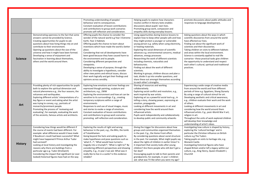|                |                                                                                                                                                                                                                                                                                                                                                                                                                                                                                                                 | Promoting understanding of peoples'<br>behaviour and its consequences.                                                                                                                                                                                                                                                                                                                                                                                                                                                                                                                                                                                | Helping pupils to explore how characters<br>resolve conflict in literary texts enables                                                                                                                                                                                                                                                                                                                                                                                                                                                                                                                                                                                                                        | promote discussions about public attitudes and<br>responses to language development.                                                                                                                                                                                                                                                                                                                                                                                                                                                                                                               |
|----------------|-----------------------------------------------------------------------------------------------------------------------------------------------------------------------------------------------------------------------------------------------------------------------------------------------------------------------------------------------------------------------------------------------------------------------------------------------------------------------------------------------------------------|-------------------------------------------------------------------------------------------------------------------------------------------------------------------------------------------------------------------------------------------------------------------------------------------------------------------------------------------------------------------------------------------------------------------------------------------------------------------------------------------------------------------------------------------------------------------------------------------------------------------------------------------------------|---------------------------------------------------------------------------------------------------------------------------------------------------------------------------------------------------------------------------------------------------------------------------------------------------------------------------------------------------------------------------------------------------------------------------------------------------------------------------------------------------------------------------------------------------------------------------------------------------------------------------------------------------------------------------------------------------------------|----------------------------------------------------------------------------------------------------------------------------------------------------------------------------------------------------------------------------------------------------------------------------------------------------------------------------------------------------------------------------------------------------------------------------------------------------------------------------------------------------------------------------------------------------------------------------------------------------|
|                |                                                                                                                                                                                                                                                                                                                                                                                                                                                                                                                 | Constant evaluation of lesson contributions                                                                                                                                                                                                                                                                                                                                                                                                                                                                                                                                                                                                           | discussions about pupils' own lives.                                                                                                                                                                                                                                                                                                                                                                                                                                                                                                                                                                                                                                                                          |                                                                                                                                                                                                                                                                                                                                                                                                                                                                                                                                                                                                    |
|                |                                                                                                                                                                                                                                                                                                                                                                                                                                                                                                                 | and contributions to group work scenarios                                                                                                                                                                                                                                                                                                                                                                                                                                                                                                                                                                                                             | Promoting group work, compassion and                                                                                                                                                                                                                                                                                                                                                                                                                                                                                                                                                                                                                                                                          |                                                                                                                                                                                                                                                                                                                                                                                                                                                                                                                                                                                                    |
|                |                                                                                                                                                                                                                                                                                                                                                                                                                                                                                                                 | promote self-reflection and consideration.                                                                                                                                                                                                                                                                                                                                                                                                                                                                                                                                                                                                            | empathy skills during everyday lessons.                                                                                                                                                                                                                                                                                                                                                                                                                                                                                                                                                                                                                                                                       |                                                                                                                                                                                                                                                                                                                                                                                                                                                                                                                                                                                                    |
| <b>Science</b> | Demonstrating openness to the fact that some<br>answers cannot be provided by Science.<br>Creating opportunities for pupils to ask<br>questions about how living things rely on and<br>contribute to their environment.<br>Opening up questions about the size of the<br>universe and how it might have been formed.<br>Developing a sense of enjoyment and<br>fascination in learning about themselves,<br>others and the world around them.                                                                   | Offering pupils the chance to consider the<br>wonder of the natural world e.g Year 3 Extreme<br>Earth, Year 2 Habitats<br>Offering pupils the chance to learn about<br>inventions which have made the world a better<br>place.<br>Considering that not all developments have<br>been good because they have caused harm to<br>the environment and to people.<br>Considering different perspectives and<br>viewpoints.<br>Developing a sense of purpose, through the<br>ability to investigate a hypothesis, consider<br>other view points and ethical issues, discuss<br>their work logically and get their findings and<br>opinions across sensibly. | Using opportunities during Science lessons to<br>explain how to keep other people safe and how<br>they might protect a younger or vulnerable<br>young person e.g. safety when using electricity,<br>or heating materials.<br>Exploring the social dimension of scientific<br>advances e.g. environmental concerns, medical<br>advances, energy processes<br>Researching the work of different scientists<br>including chemists, naturalists and<br>behaviourists.<br>Finding out about the work of different<br>scientists.<br>Working In groups; children discuss and plan a<br>task, divide it up into smaller questions, and<br>share these out amongst themselves according<br>to each other's strengths. | Asking questions about the ways in which<br>scientific discoveries from around the world<br>have affected our lives.<br>Finding out about the significant work of<br>scientists and their discoveries.<br>Taking children on visits to different habitats<br>and areas within the local environment.<br>Science is constantly applied to real-life<br>scenarios-these practical tasks give children<br>the opportunity to understand and respect<br>each other's cultural, spiritual and traditional<br>practices.                                                                                 |
| Art            | Providing plenty of rich opportunities for pupils<br>both to explore the spiritual dimension and<br>natural phenomena e.g., the four seasons, the<br>volcanoes and earthquakes.<br>Exploring different artists' interpretations of a<br>key figure or event and asking what the artist<br>was trying to convey, e.g., portraits of<br>monarchs/prominent people.<br>Promoting the process of 'reviewing and<br>evaluating'; for example, evaluating the work<br>of the ancients, famous artists and architects. | Exploring how emotions and inner feelings are<br>expressed though painting, sculpture and<br>architecture, e.g., 2WW<br>Exploring the environment and how art can be<br>sensitive to its surroundings. E.g., creating<br>temporary sculptures within a range of<br>environments.<br>Responses to and use of visual images, music<br>and stories to evoke a range of emotions.<br>Constant evaluation of lesson contributions<br>and contributions to group work scenarios<br>promoting self-reflection and consideration.                                                                                                                             | Sharing of resources and working<br>collaboratively.<br>Exploring social conflict and resolution, e.g.,<br>work inspired by war artists.<br>Exploring art as a powerful social tool e.g., in<br>telling a story, showing power, expressing an<br>emotion, propaganda.<br>Looking at different movements in art and<br>considering how the world around them<br>influenced artists.<br>Pupils work independently and collaboratively<br>to develop public and community artworks                                                                                                                                                                                                                               | Experiencing a wide range of creative media<br>from around the world and from different<br>periods of time e.g. Egyptians, Shang Dynasty<br>By using a range of cultural stimuli for art.<br>Developing aesthetic and critical awareness,<br>e.g., children evaluate their work and the work<br>of others.<br>Looking at different movements in art and<br>considering how the world around them<br>influenced artists. E.g., post-World War II art;<br>religion in art.<br>Throughout the units of work explored children<br>will develop their knowledge and<br>understanding of artist's ideas. |
| <b>History</b> | Considering how things would be different if<br>the course of events had been different. For<br>example: what difference would it have made<br>if Boudicca's revolt had been successful? What<br>might have happened if Prince Arthur Tudor<br>had survived?<br>Looking at local history and investigating the<br>reasons why there are buildings from a<br>particular age e.g. Tudor (Droitwich)<br>Considering the impact that significant (or over<br>looked) historical figures have had on the way         | Exploring the results of right and wrong<br>behaviour in the past, e.g., the Blitz, the tomb<br>of Tutankhamen.<br>Going beyond the facts and asking pupils to<br>make hypotheses and pose questions such as<br>'what if?'; 'What would have turned a<br>tragedy into a triumph?'; 'What is right to?' By<br>considering different perspectives and showing<br>empathy. E.g., In year 2 we ask: What was it<br>really like to live in a castle? Is this evidence<br>reliable?                                                                                                                                                                         | Giving the trigger for discussions about how<br>groups and communities organised themselves<br>in the past. E.g., the Home Front effort.<br>By considering questions about social structure<br>in the past. For example, What might pupils say<br>about the rights of children in earlier times? Is<br>it important that society looks after young<br>children? Are there people who still don't get a<br>fair deal?<br>Encouraging pupils to talk to their parents and<br>grandparents; for example, in year 1 children<br>ask: what was TV like when you were my age?                                                                                                                                       | Investigating how culture is shaped by history,<br>exploring the 'cultural heritage' and in<br>particular the Christian influence on British<br>culture e.g The Tudors<br>Taking pupils on visits to heritage site, e.g.<br>Warwick Castle.<br>Investigating historical figures who have<br>shaped Britain and/or left a legacy within our<br>culture, e.g., King Henry, Queen Elizabeth I,<br>Churchill                                                                                                                                                                                           |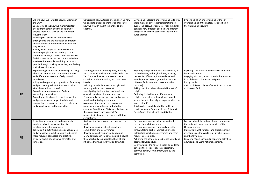|           | we live now. E.g., Charles Darwin, Women in<br>the 2WW.<br>Speculating about how we mark important<br>events from history and the people who<br>shaped them. E.g., Why do we remember<br>November 5th?<br>Realising that distortions can take place<br>through time and the multitude of different<br>interpretations that can be made about one<br>single event.<br>History allows pupils to see the similarities<br>between people now and in the past and<br>sometimes through sources and artefacts we<br>feel that we can almost reach and touch them.<br>Artefacts, for example, can bring us closer to<br>people through touching what they felt, feeling<br>their shoes, clothes etc. | Considering how historical events show us how<br>we ought to treat one another and teach us<br>how we wouldn't want to behave to one<br>another.                                                                                                                                                                                                                                                                                                                                                                                                                                                                                                                                                               | Developing children's understanding as to why<br>there might be different interpretations to<br>events in history. For example, year 4 children<br>consider how different people have different<br>perspectives of the discovery of the tomb of<br>Tutankhamen.                                                                                                                                                                                                                                                                                                                                                             | By developing an understanding of the key<br>events shaping British history (as specified in<br>the National Curriculum).                                                                                                                                                                                                               |
|-----------|-----------------------------------------------------------------------------------------------------------------------------------------------------------------------------------------------------------------------------------------------------------------------------------------------------------------------------------------------------------------------------------------------------------------------------------------------------------------------------------------------------------------------------------------------------------------------------------------------------------------------------------------------------------------------------------------------|----------------------------------------------------------------------------------------------------------------------------------------------------------------------------------------------------------------------------------------------------------------------------------------------------------------------------------------------------------------------------------------------------------------------------------------------------------------------------------------------------------------------------------------------------------------------------------------------------------------------------------------------------------------------------------------------------------------|-----------------------------------------------------------------------------------------------------------------------------------------------------------------------------------------------------------------------------------------------------------------------------------------------------------------------------------------------------------------------------------------------------------------------------------------------------------------------------------------------------------------------------------------------------------------------------------------------------------------------------|-----------------------------------------------------------------------------------------------------------------------------------------------------------------------------------------------------------------------------------------------------------------------------------------------------------------------------------------|
| <b>RE</b> | Experiencing wonder and joy through learning<br>about and from stories, celebrations, rituals<br>and different expressions of religion and<br>worldviews.<br>Asking and responding to questions of meaning<br>and purpose e.g. Why is it important to look<br>after the world and others?<br>Considering questions about God and<br>evaluating truth claims.<br>Exploring spiritual practices such as worship<br>and prayer across a range of beliefs, and<br>considering the impact of these on believers<br>and any relevance to their own life.                                                                                                                                            | Exploring morality including rules, teachings<br>and commands such as The Golden Rule. The<br>Ten Commandments compared to Jewish<br>sacred texts about morality, and how these<br>interlink.<br>Debating moral dilemmas about right and<br>wrong, good and bad, peace etc.<br>Investigating the importance of service to<br>others in Judaism, Hinduism and Islam.<br>Exploring religious perspectives and responses<br>to evil and suffering in the world.<br>Asking questions about the purpose and<br>meaning of reconciliation and salvation e.g<br>exploring Yom Kippur, Christian salvation story.<br>Discussing issues such as people's<br>responsibility towards the world and future<br>generations. | Exploring the qualities which are valued by a<br>civilised society - thoughtfulness, honesty,<br>respect for difference, independence and<br>interdependence (Year groups look at how<br>different faiths deal with these and other<br>qualities).<br>Asking questions about the social impact of<br>religion.<br>Exploring similarities and differences in<br>religions and cultures through which pupils<br>should begin to link religion to personal action<br>in everyday life.<br>This has also been taken further with our<br>charity work, e.g Genes for Jeans, Children in<br>Need, Sport/Comic Relief, Food Banks. | Exploring similarities and differences between<br>faiths and cultures.<br>Engaging with text, artefacts and other sources<br>from different cultures and religious<br>backgrounds<br>Visits to different places of worship and visitors<br>of different faiths                                                                          |
| <b>PE</b> | Delighting in movement, particularly when<br>pupils are able to show spontaneity e.g.<br>creating gymnastic sequences.<br>Taking part in activities such as dance, games<br>and gymnastics which help pupils to become<br>more focused, connected and creative.<br>By being aware of one's own strengths and<br>limitations                                                                                                                                                                                                                                                                                                                                                                   | By discussing fair play and the value of team<br>work.<br>Developing qualities of self-discipline,<br>commitment and perseverance<br>Developing positive sporting behaviours.<br>Moral education in PE concerns pupils having<br>the opportunity to understand how PE can<br>influence their healthy living and lifestyle.                                                                                                                                                                                                                                                                                                                                                                                     | Developing a sense of belonging and self-<br>esteem through team work<br>Developing a sense of community identity<br>through taking part in inter school events<br>Celebrating sporting achievements and team<br>results in assemblies.<br>Achieving the School Games bronze award and<br>aspiring towards silver.<br>By giving pupis the role of a coach or leader to<br>develop their social skills in cooperation,<br>communication, commitment, loyalty and<br>team work.                                                                                                                                               | Learning about the history of sport, and where<br>they originate from, e.g.the origins of the<br>Olympic games.<br>Making links with national and global sporting<br>events such as the World Cup, Invictus Games<br>and the Olympics.<br>Exploring rituals surrounding sporting activities<br>e.g. traditions, using national anthems. |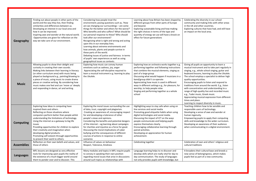| Geography         | Finding out about people in other parts of the<br>world and the way they live, then finding<br>similarities and differences between us.<br>Developing an interest in our local area and<br>how it can be improved.<br>Inspiring awe and wonder at the natural world.<br>Opportunities are given for reflection on the<br>way we take care of our environment.                                                                                                                     | Considering how people treat the<br>environment; posing questions such as, 'How<br>are we changing our surroundings – are some<br>things for the better and others for the worse?<br>Who benefits and who suffers? What should be<br>our personal response to these? Who should<br>look after our environment?<br>Recognizing what is right and wrong and acting<br>upon this in our everyday lives.<br>Learning about extreme environments and<br>how animals, plants and people survive in<br>these parts of the world.<br>Debating Issues of justice and fairness in terms<br>of pupils' own experiences as well as using<br>geographical issues as contexts. | Learning about how Britain has been shaped by<br>different groups from other parts of Europe<br>and beyond.<br>Exploring sustainable living and how making<br>the right choices in terms of the type and<br>quantity of energy we use will have a knock on<br>effect for future generations                                                                                                                                                                | Celebrating the diversity in our school<br>community and making links with other areas<br>in the UK and other countries.<br>Exploring cultures that have had, and still have<br>an impact on the local area.                                                                                                                                                                                                                                                                                                                                                                                                                          |
|-------------------|-----------------------------------------------------------------------------------------------------------------------------------------------------------------------------------------------------------------------------------------------------------------------------------------------------------------------------------------------------------------------------------------------------------------------------------------------------------------------------------|------------------------------------------------------------------------------------------------------------------------------------------------------------------------------------------------------------------------------------------------------------------------------------------------------------------------------------------------------------------------------------------------------------------------------------------------------------------------------------------------------------------------------------------------------------------------------------------------------------------------------------------------------------------|------------------------------------------------------------------------------------------------------------------------------------------------------------------------------------------------------------------------------------------------------------------------------------------------------------------------------------------------------------------------------------------------------------------------------------------------------------|---------------------------------------------------------------------------------------------------------------------------------------------------------------------------------------------------------------------------------------------------------------------------------------------------------------------------------------------------------------------------------------------------------------------------------------------------------------------------------------------------------------------------------------------------------------------------------------------------------------------------------------|
| <b>Music</b>      | Allowing pupils to show their delight and<br>curiosity in creating their own sounds.<br>Making links between their learning in literacy<br>(or other curriculum area) with music being<br>played as background e.g., painting/drawing to<br>a piece of music, using music to create drama<br>pieces or creative writing. By considering how<br>music makes one feel and can 'move us' deeply<br>and responding in dance, art and writing.                                         | Exploring how music can convey human<br>emotions such as sadness, joy, anger<br>Appreciating the self-discipline required to<br>learn a musical instrument e.g. learning to play<br>the Ukulele.                                                                                                                                                                                                                                                                                                                                                                                                                                                                 | Exploring how an orchestra works together e.g.<br>performing together and following instructions<br>that combine the musical elements, singing as<br>part of a large group<br>Discussing what would happen if musicians in a<br>band/group didn't co-operate<br>Appreciating how music is used in different<br>ways in different settings e.g., for pleasure, for<br>worship, to help people relax<br>Singing and performing together as a whole<br>school | Giving all pupils an opportunity to learn a<br>musical instrument and to take part regularly in<br>singing, e.g., whole school singing, guitar and<br>keyboard lessons, learning to play the Ukulele.<br>The school employs a specialist to deliver high<br>quality opportunities.<br>Encouraging pupils to listen and respond to<br>traditions from around the world. E.g., listen<br>with concentration and understanding to a<br>range of high-quality live and recorded music<br>e.g., Tudor music, Greek music.<br>Appreciating musical expression from different<br>times and place.<br>Learning to respect diversity in music. |
| <b>Computing</b>  | Exploring how ideas in computing have<br>inspired them and others.<br>Reflecting on those situations where<br>computers perform better than people whilst<br>understanding the limitations of technology.<br>Using the internet as a gateway to big life<br>issues<br>Providing opportunities for children to explore<br>their creativity and imagination when<br>developing digital products.<br>Promoting self-esteem through opportunities<br>to present their work to others. | Exploring the moral issues surrounding the use<br>of data, trust, copyright and plagiarism.<br>Creating an awareness of; encouraging respect<br>for and developing a tolerance of other<br>people's views and opinions.<br>Considering the benefits and potential dangers<br>of the internet $-$ eg learning about campaigns<br>for charities and injustice as a force for good.<br>Discussing the moral implications of cyber<br>bullying and the consequences of different<br>courses of actions in response to online<br>scenarios                                                                                                                            | Highlighting ways to stay safe when using on<br>line services and social media<br>Promoting good etiquette habits when using<br>digital technologies and social media.<br>Discussing the impact of ICT on the ways<br>people communicate and helping pupils<br>express themselves clearly.<br>Encouraging collaborative learning through<br>paired activities.<br>Developing an appreciation for human<br>achievement.                                     | Teaching children how to be sensible and<br>responsible users of technology.<br>Developing a sense of awe and wonder at<br>human ingenuity.<br>Empowering pupils to apply their computing<br>skills and knowledge to the wider curriculum.<br>Developing an awareness of their audience<br>when communicating in a digital environment.                                                                                                                                                                                                                                                                                               |
| <b>Assemblies</b> | Reflection on their own beliefs and values, and<br>those of others                                                                                                                                                                                                                                                                                                                                                                                                                | Influence of values on behaviour<br>Respect, Tolerance, Kindness                                                                                                                                                                                                                                                                                                                                                                                                                                                                                                                                                                                                 | Celebrating together                                                                                                                                                                                                                                                                                                                                                                                                                                       | Celebration of own and others' religious and<br>cultural traditions                                                                                                                                                                                                                                                                                                                                                                                                                                                                                                                                                                   |
| Languages         | MFL lessons are designed as very effective<br>tools for impressing upon pupils the reality of<br>the existence of a much bigger world around<br>them to ponder over and to discover. This                                                                                                                                                                                                                                                                                         | Many modules and topics in MFL require pupils<br>to convey in speaking their own position<br>regarding moral issues that arise in discussions<br>around such topics as relationships with                                                                                                                                                                                                                                                                                                                                                                                                                                                                        | Language learning helps to re-discover and<br>develop skills which are really vital for day to<br>day communication. The study of languages<br>not only provides pupils with knowledge, but                                                                                                                                                                                                                                                                | It broadens their cultural base and breeds a<br>new sense of belongingness, which makes<br>pupils feel as part of a new community.                                                                                                                                                                                                                                                                                                                                                                                                                                                                                                    |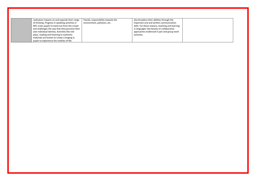| realisation impacts on and expands their range<br>of thinking. Progress in speaking activities in<br>MFL trains pupils to stand out from the crowd<br>and challenges the way that they perceive their<br>own individual identity. Activities like role | friends, responsibility towards the<br>environment, pollution, etc. | also broadens their abilities through the<br>important oral and written communication<br>skills. For these reasons, teaching and learning<br>in languages rely heavily on collaborative<br>approaches evidenced in pair and group work |  |
|--------------------------------------------------------------------------------------------------------------------------------------------------------------------------------------------------------------------------------------------------------|---------------------------------------------------------------------|----------------------------------------------------------------------------------------------------------------------------------------------------------------------------------------------------------------------------------------|--|
| plays, reading and listening to authentic<br>materials are known to create a longing in<br>pupils to experience the realities of life.                                                                                                                 |                                                                     | activities.                                                                                                                                                                                                                            |  |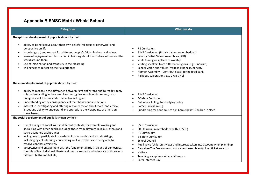# **Appendix B SMSC Matrix Whole School**

| <b>Categories</b>                                                                                                                                                                                                                                                                                                                                                                                                                                                                                                                                                                                                                             | What we do                                                                                                                                                                                                                                                                                                                                                                                                                |
|-----------------------------------------------------------------------------------------------------------------------------------------------------------------------------------------------------------------------------------------------------------------------------------------------------------------------------------------------------------------------------------------------------------------------------------------------------------------------------------------------------------------------------------------------------------------------------------------------------------------------------------------------|---------------------------------------------------------------------------------------------------------------------------------------------------------------------------------------------------------------------------------------------------------------------------------------------------------------------------------------------------------------------------------------------------------------------------|
| The spiritual development of pupils is shown by their:<br>ability to be reflective about their own beliefs (religious or otherwise) and<br>$\bullet$                                                                                                                                                                                                                                                                                                                                                                                                                                                                                          |                                                                                                                                                                                                                                                                                                                                                                                                                           |
| perspective on life<br>knowledge of, and respect for, different people's faiths, feelings and values<br>٠<br>sense of enjoyment and fascination in learning about themselves, others and the<br>٠<br>world around them<br>use of imagination and creativity in their learning<br>٠<br>willingness to reflect on their experiences                                                                                                                                                                                                                                                                                                             | <b>RE Curriculum</b><br>PSHE Curriculum (British Values are embedded)<br>Weekly British Values Assemblies (SFR)<br>$\bullet$<br>Visits to religious places of worship<br>$\bullet$<br>Visiting speakers from different religions (e.g. Hinduism)<br>$\bullet$<br>School Vision and values (respect, kindness, honesty)<br>Harvest Assembly - Contribute back to the food bank<br>Religious celebrations e.g. Diwali, Holi |
| The moral development of pupils is shown by their:                                                                                                                                                                                                                                                                                                                                                                                                                                                                                                                                                                                            |                                                                                                                                                                                                                                                                                                                                                                                                                           |
| ability to recognise the difference between right and wrong and to readily apply<br>$\bullet$<br>this understanding in their own lives, recognise legal boundaries and, in so<br>doing, respect the civil and criminal law of England<br>understanding of the consequences of their behaviour and actions<br>$\bullet$<br>interest in investigating and offering reasoned views about moral and ethical<br>$\bullet$<br>issues and ability to understand and appreciate the viewpoints of others on<br>these issues.                                                                                                                          | <b>PSHE Curriculum</b><br>E-Safety Curriculum<br>Behaviour Policy/Anti-bullying policy<br>Some curriculum e.g.<br>Fundraising for good causes e.g. Comic Relief, Children in Need                                                                                                                                                                                                                                         |
| The social development of pupils is shown by their:                                                                                                                                                                                                                                                                                                                                                                                                                                                                                                                                                                                           |                                                                                                                                                                                                                                                                                                                                                                                                                           |
| use of a range of social skills in different contexts, for example working and<br>$\bullet$<br>socialising with other pupils, including those from different religious, ethnic and<br>socio-economic backgrounds<br>willingness to participate in a variety of communities and social settings,<br>$\bullet$<br>including by volunteering, cooperating well with others and being able to<br>resolve conflicts effectively<br>acceptance and engagement with the fundamental British values of democracy,<br>$\bullet$<br>the rule of law, individual liberty and mutual respect and tolerance of those with<br>different faiths and beliefs; | <b>PSHE Curriculum</b><br>SRE Curriculum (embedded within PSHE)<br><b>RE Curriculum</b><br>$\bullet$<br>E-Safety Curriculum<br><b>School Council</b><br>Pupil voice (children's views and interests taken into account when planning)<br>Barnabee The Bee - core school values (assemblies/golden ticket awards)<br><b>Visitors</b><br>Teaching acceptance of any difference<br>Safer Internet Day                        |